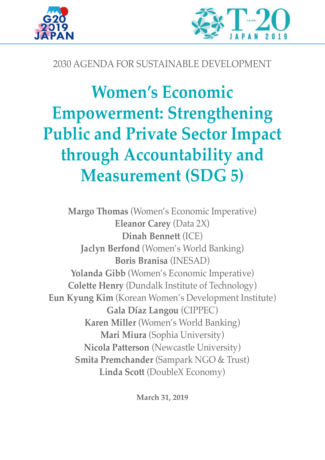



## 2030 AGENDA FOR SUSTAINABLE DEVELOPMENT

# **Women's Economic Empowerment: Strengthening Public and Private Sector Impact through Accountability and Measurement (SDG 5)**

**Margo Thomas** (Women's Economic Imperative) **Eleanor Carey** (Data 2X) **Dinah Bennett** (ICE) **Jaclyn Berfond** (Women's World Banking) **Boris Branisa** (INESAD) **Yolanda Gibb** (Women's Economic Imperative) **Colette Henry** (Dundalk Institute of Technology) **Eun Kyung Kim** (Korean Women's Development Institute) **Gala Díaz Langou** (CIPPEC) **Karen Miller** (Women's World Banking) **Mari Miura** (Sophia University) **Nicola Patterson** (Newcastle University) **Smita Premchander** (Sampark NGO & Trust) **Linda Scott** (DoubleX Economy)

**March 31, 2019**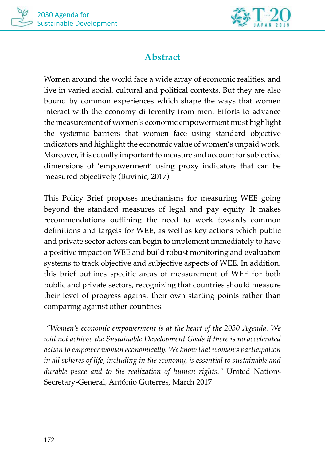



## **Abstract**

Women around the world face a wide array of economic realities, and live in varied social, cultural and political contexts. But they are also bound by common experiences which shape the ways that women interact with the economy differently from men. Efforts to advance the measurement of women's economic empowerment must highlight the systemic barriers that women face using standard objective indicators and highlight the economic value of women's unpaid work. Moreover, it is equally important to measure and account for subjective dimensions of 'empowerment' using proxy indicators that can be measured objectively (Buvinic, 2017).

This Policy Brief proposes mechanisms for measuring WEE going beyond the standard measures of legal and pay equity. It makes recommendations outlining the need to work towards common definitions and targets for WEE, as well as key actions which public and private sector actors can begin to implement immediately to have a positive impact on WEE and build robust monitoring and evaluation systems to track objective and subjective aspects of WEE. In addition, this brief outlines specific areas of measurement of WEE for both public and private sectors, recognizing that countries should measure their level of progress against their own starting points rather than comparing against other countries.

 *"Women's economic empowerment is at the heart of the 2030 Agenda. We will not achieve the Sustainable Development Goals if there is no accelerated action to empower women economically. We know that women's participation in all spheres of life, including in the economy, is essential to sustainable and durable peace and to the realization of human rights."* United Nations Secretary-General, António Guterres, March 2017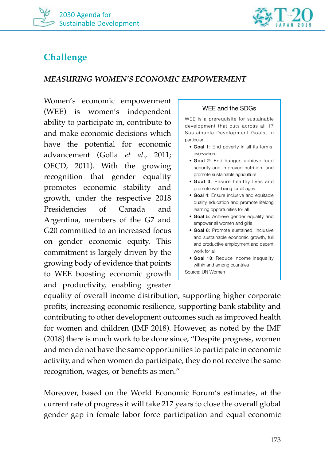



## **Challenge**

#### *MEASURING WOMEN'S ECONOMIC EMPOWERMENT*

Women's economic empowerment (WEE) is women's independent ability to participate in, contribute to and make economic decisions which have the potential for economic advancement (Golla *et al*., 2011; OECD, 2011). With the growing recognition that gender equality promotes economic stability and growth, under the respective 2018 Presidencies of Canada and Argentina, members of the G7 and G20 committed to an increased focus on gender economic equity. This commitment is largely driven by the growing body of evidence that points to WEE boosting economic growth and productivity, enabling greater

#### WEE and the SDGs

WEE is a prerequisite for sustainable development that cuts across all 17 Sustainable Development Goals, in particular:

- Goal 1: End poverty in all its forms, everywhere
- Goal 2: End hunger, achieve food security and improved nutrition, and promote sustainable agriculture
- Goal 3: Ensure healthy lives and promote well-being for all ages
- Goal 4: Ensure inclusive and equitable quality education and promote lifelong learning opportunities for all
- Goal 5: Achieve gender equality and empower all women and girls
- Goal 8: Promote sustained, inclusive and sustainable economic growth, full and productive employment and decent work for all
- Goal 10: Reduce income inequality within and among countries

Source: UN Women

equality of overall income distribution, supporting higher corporate profits, increasing economic resilience, supporting bank stability and contributing to other development outcomes such as improved health for women and children (IMF 2018). However, as noted by the IMF (2018) there is much work to be done since, "Despite progress, women and men do not have the same opportunities to participate in economic activity, and when women do participate, they do not receive the same recognition, wages, or benefits as men."

Moreover, based on the World Economic Forum's estimates, at the current rate of progress it will take 217 years to close the overall global gender gap in female labor force participation and equal economic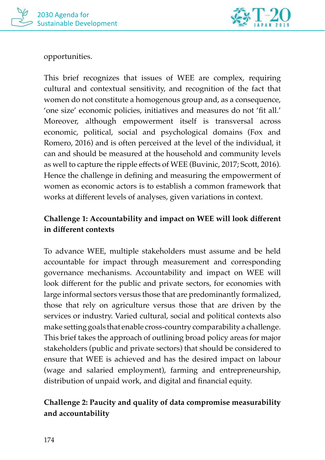

opportunities.

This brief recognizes that issues of WEE are complex, requiring cultural and contextual sensitivity, and recognition of the fact that women do not constitute a homogenous group and, as a consequence, 'one size' economic policies, initiatives and measures do not 'fit all.' Moreover, although empowerment itself is transversal across economic, political, social and psychological domains (Fox and Romero, 2016) and is often perceived at the level of the individual, it can and should be measured at the household and community levels as well to capture the ripple effects of WEE (Buvinic, 2017; Scott, 2016). Hence the challenge in defining and measuring the empowerment of women as economic actors is to establish a common framework that works at different levels of analyses, given variations in context.

## **Challenge 1: Accountability and impact on WEE will look different in different contexts**

To advance WEE, multiple stakeholders must assume and be held accountable for impact through measurement and corresponding governance mechanisms. Accountability and impact on WEE will look different for the public and private sectors, for economies with large informal sectors versus those that are predominantly formalized, those that rely on agriculture versus those that are driven by the services or industry. Varied cultural, social and political contexts also make setting goals that enable cross-country comparability a challenge. This brief takes the approach of outlining broad policy areas for major stakeholders (public and private sectors) that should be considered to ensure that WEE is achieved and has the desired impact on labour (wage and salaried employment), farming and entrepreneurship, distribution of unpaid work, and digital and financial equity.

## **Challenge 2: Paucity and quality of data compromise measurability and accountability**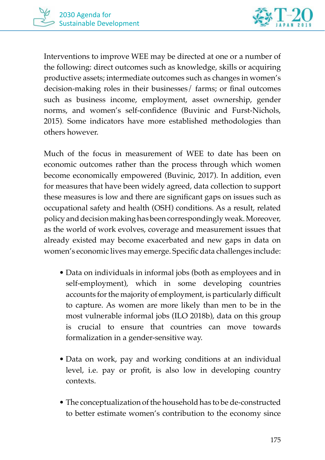



Interventions to improve WEE may be directed at one or a number of the following: direct outcomes such as knowledge, skills or acquiring productive assets; intermediate outcomes such as changes in women's decision-making roles in their businesses/ farms; or final outcomes such as business income, employment, asset ownership, gender norms, and women's self-confidence (Buvinic and Furst-Nichols, 2015). Some indicators have more established methodologies than others however.

Much of the focus in measurement of WEE to date has been on economic outcomes rather than the process through which women become economically empowered (Buvinic, 2017). In addition, even for measures that have been widely agreed, data collection to support these measures is low and there are significant gaps on issues such as occupational safety and health (OSH) conditions. As a result, related policy and decision making has been correspondingly weak. Moreover, as the world of work evolves, coverage and measurement issues that already existed may become exacerbated and new gaps in data on women's economic lives may emerge. Specific data challenges include:

- Data on individuals in informal jobs (both as employees and in self-employment), which in some developing countries accounts for the majority of employment, is particularly difficult to capture. As women are more likely than men to be in the most vulnerable informal jobs (ILO 2018b), data on this group is crucial to ensure that countries can move towards formalization in a gender-sensitive way.
- Data on work, pay and working conditions at an individual level, i.e. pay or profit, is also low in developing country contexts.
- The conceptualization of the household has to be de-constructed to better estimate women's contribution to the economy since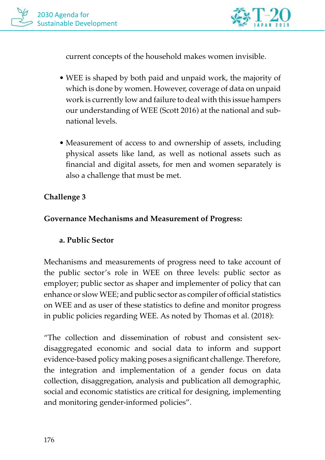

current concepts of the household makes women invisible.

- WEE is shaped by both paid and unpaid work, the majority of which is done by women. However, coverage of data on unpaid work is currently low and failure to deal with this issue hampers our understanding of WEE (Scott 2016) at the national and subnational levels.
- Measurement of access to and ownership of assets, including physical assets like land, as well as notional assets such as financial and digital assets, for men and women separately is also a challenge that must be met.

#### **Challenge 3**

#### **Governance Mechanisms and Measurement of Progress:**

#### **a. Public Sector**

Mechanisms and measurements of progress need to take account of the public sector's role in WEE on three levels: public sector as employer; public sector as shaper and implementer of policy that can enhance or slow WEE; and public sector as compiler of official statistics on WEE and as user of these statistics to define and monitor progress in public policies regarding WEE. As noted by Thomas et al. (2018):

"The collection and dissemination of robust and consistent sexdisaggregated economic and social data to inform and support evidence-based policy making poses a significant challenge. Therefore, the integration and implementation of a gender focus on data collection, disaggregation, analysis and publication all demographic, social and economic statistics are critical for designing, implementing and monitoring gender-informed policies".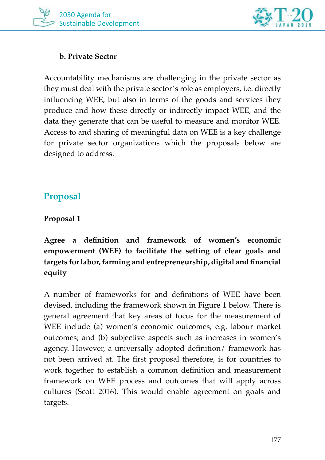



#### **b. Private Sector**

Accountability mechanisms are challenging in the private sector as they must deal with the private sector's role as employers, i.e. directly influencing WEE, but also in terms of the goods and services they produce and how these directly or indirectly impact WEE, and the data they generate that can be useful to measure and monitor WEE. Access to and sharing of meaningful data on WEE is a key challenge for private sector organizations which the proposals below are designed to address.

## **Proposal**

#### **Proposal 1**

**Agree a definition and framework of women's economic empowerment (WEE) to facilitate the setting of clear goals and targets for labor, farming and entrepreneurship, digital and financial equity**

A number of frameworks for and definitions of WEE have been devised, including the framework shown in Figure 1 below. There is general agreement that key areas of focus for the measurement of WEE include (a) women's economic outcomes, e.g. labour market outcomes; and (b) subjective aspects such as increases in women's agency. However, a universally adopted definition/ framework has not been arrived at. The first proposal therefore, is for countries to work together to establish a common definition and measurement framework on WEE process and outcomes that will apply across cultures (Scott 2016). This would enable agreement on goals and targets.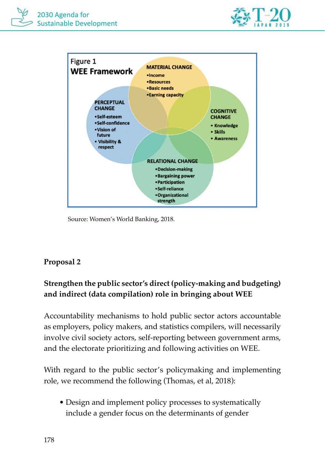



Source: Women's World Banking, 2018.

## **Proposal 2**

## **Strengthen the public sector's direct (policy-making and budgeting) and indirect (data compilation) role in bringing about WEE**

Accountability mechanisms to hold public sector actors accountable as employers, policy makers, and statistics compilers, will necessarily involve civil society actors, self-reporting between government arms, and the electorate prioritizing and following activities on WEE.

With regard to the public sector's policymaking and implementing role, we recommend the following (Thomas, et al, 2018):

• Design and implement policy processes to systematically include a gender focus on the determinants of gender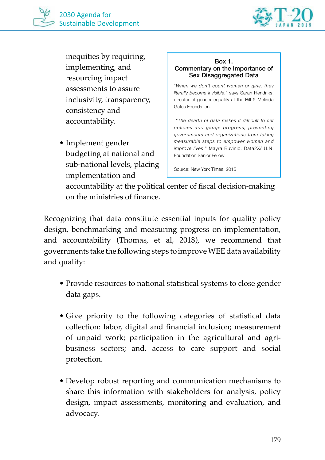

inequities by requiring, implementing, and resourcing impact assessments to assure inclusivity, transparency, consistency and accountability.

• Implement gender budgeting at national and sub-national levels, placing implementation and

#### Box 1. Commentary on the Importance of Sex Disaggregated Data

"*When we don't count women or girls, they literally become invisible*," says Sarah Hendriks, director of gender equality at the Bill & Melinda Gates Foundation.

 "*The dearth of data makes it difficult to set policies and gauge progress, preventing governments and organizations from taking measurable steps to empower women and improve lives*." Mayra Buvinic, Data2X/ U.N. Foundation Senior Fellow

Source: New York Times, 2015

accountability at the political center of fiscal decision-making on the ministries of finance.

Recognizing that data constitute essential inputs for quality policy design, benchmarking and measuring progress on implementation, and accountability (Thomas, et al, 2018), we recommend that governments take the following steps to improve WEE data availability and quality:

- Provide resources to national statistical systems to close gender data gaps.
- Give priority to the following categories of statistical data collection: labor, digital and financial inclusion; measurement of unpaid work; participation in the agricultural and agribusiness sectors; and, access to care support and social protection.
- Develop robust reporting and communication mechanisms to share this information with stakeholders for analysis, policy design, impact assessments, monitoring and evaluation, and advocacy.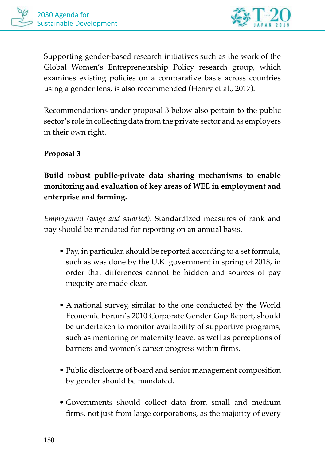

Supporting gender-based research initiatives such as the work of the Global Women's Entrepreneurship Policy research group, which examines existing policies on a comparative basis across countries using a gender lens, is also recommended (Henry et al., 2017).

Recommendations under proposal 3 below also pertain to the public sector's role in collecting data from the private sector and as employers in their own right.

## **Proposal 3**

## **Build robust public-private data sharing mechanisms to enable monitoring and evaluation of key areas of WEE in employment and enterprise and farming.**

*Employment (wage and salaried)*. Standardized measures of rank and pay should be mandated for reporting on an annual basis.

- Pay, in particular, should be reported according to a set formula, such as was done by the U.K. government in spring of 2018, in order that differences cannot be hidden and sources of pay inequity are made clear.
- A national survey, similar to the one conducted by the World Economic Forum's 2010 Corporate Gender Gap Report, should be undertaken to monitor availability of supportive programs, such as mentoring or maternity leave, as well as perceptions of barriers and women's career progress within firms.
- Public disclosure of board and senior management composition by gender should be mandated.
- Governments should collect data from small and medium firms, not just from large corporations, as the majority of every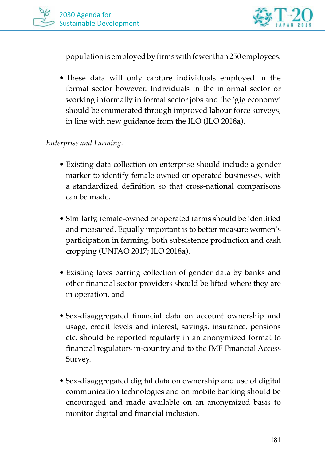

population is employed by firms with fewer than 250 employees.

• These data will only capture individuals employed in the formal sector however. Individuals in the informal sector or working informally in formal sector jobs and the 'gig economy' should be enumerated through improved labour force surveys, in line with new guidance from the ILO (ILO 2018a).

#### *Enterprise and Farming*.

- Existing data collection on enterprise should include a gender marker to identify female owned or operated businesses, with a standardized definition so that cross-national comparisons can be made.
- Similarly, female-owned or operated farms should be identified and measured. Equally important is to better measure women's participation in farming, both subsistence production and cash cropping (UNFAO 2017; ILO 2018a).
- Existing laws barring collection of gender data by banks and other financial sector providers should be lifted where they are in operation, and
- Sex-disaggregated financial data on account ownership and usage, credit levels and interest, savings, insurance, pensions etc. should be reported regularly in an anonymized format to financial regulators in-country and to the IMF Financial Access Survey.
- Sex-disaggregated digital data on ownership and use of digital communication technologies and on mobile banking should be encouraged and made available on an anonymized basis to monitor digital and financial inclusion.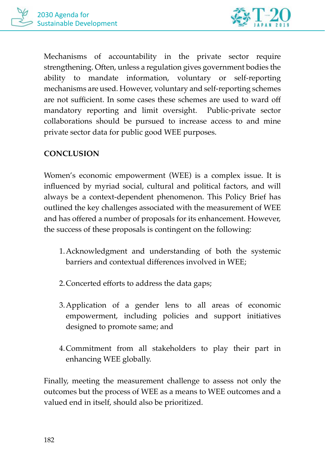



Mechanisms of accountability in the private sector require strengthening. Often, unless a regulation gives government bodies the ability to mandate information, voluntary or self-reporting mechanisms are used. However, voluntary and self-reporting schemes are not sufficient. In some cases these schemes are used to ward off mandatory reporting and limit oversight. Public-private sector collaborations should be pursued to increase access to and mine private sector data for public good WEE purposes.

### **CONCLUSION**

Women's economic empowerment (WEE) is a complex issue. It is influenced by myriad social, cultural and political factors, and will always be a context-dependent phenomenon. This Policy Brief has outlined the key challenges associated with the measurement of WEE and has offered a number of proposals for its enhancement. However, the success of these proposals is contingent on the following:

- 1.Acknowledgment and understanding of both the systemic barriers and contextual differences involved in WEE;
- 2.Concerted efforts to address the data gaps;
- 3.Application of a gender lens to all areas of economic empowerment, including policies and support initiatives designed to promote same; and
- 4.Commitment from all stakeholders to play their part in enhancing WEE globally.

Finally, meeting the measurement challenge to assess not only the outcomes but the process of WEE as a means to WEE outcomes and a valued end in itself, should also be prioritized.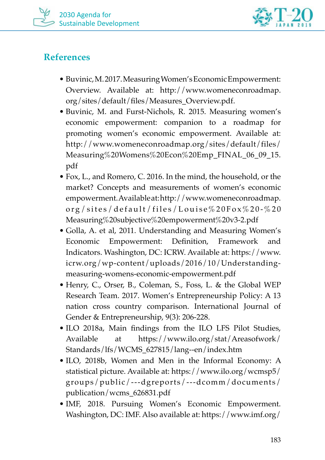



## **References**

- Buvinic, M. 2017. Measuring Women's Economic Empowerment: Overview. Available at: http://www.womeneconroadmap. org/sites/default/files/Measures\_Overview.pdf.
- Buvinic, M. and Furst-Nichols, R. 2015. Measuring women's economic empowerment: companion to a roadmap for promoting women's economic empowerment. Available at: http://www.womeneconroadmap.org/sites/default/files/ Measuring%20Womens%20Econ%20Emp\_FINAL\_06\_09\_15. pdf
- Fox, L., and Romero, C. 2016. In the mind, the household, or the market? Concepts and measurements of women's economic empowerment. Available at: http://www.womeneconroadmap. org/sites/default/files/Louise%20Fox%20-%20 Measuring%20subjective%20empowerment%20v3-2.pdf
- Golla, A. et al, 2011. Understanding and Measuring Women's Economic Empowerment: Definition, Framework and Indicators. Washington, DC: ICRW. Available at: https://www. icrw.org/wp-content/uploads/2016/10/Understandingmeasuring-womens-economic-empowerment.pdf
- Henry, C., Orser, B., Coleman, S., Foss, L. & the Global WEP Research Team. 2017. Women's Entrepreneurship Policy: A 13 nation cross country comparison. International Journal of Gender & Entrepreneurship, 9(3): 206-228.
- ILO 2018a, Main findings from the ILO LFS Pilot Studies, Available at https://www.ilo.org/stat/Areasofwork/ Standards/lfs/WCMS\_627815/lang--en/index.htm
- ILO, 2018b, Women and Men in the Informal Economy: A statistical picture. Available at: https://www.ilo.org/wcmsp5/ groups/public/---dgreports/---dcomm/documents/ publication/wcms\_626831.pdf
- IMF, 2018. Pursuing Women's Economic Empowerment. Washington, DC: IMF. Also available at: https://www.imf.org/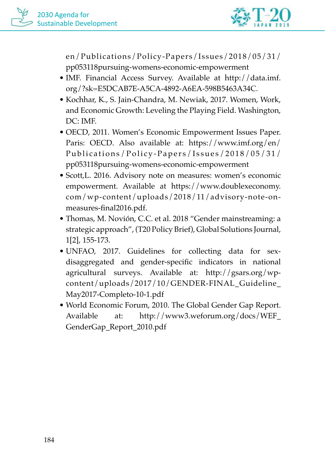

en/Publications/Policy-Papers/Issues/2018/05/31/ pp053118pursuing-womens-economic-empowerment

- IMF. Financial Access Survey. Available at http://data.imf. org/?sk=E5DCAB7E-A5CA-4892-A6EA-598B5463A34C.
- Kochhar, K., S. Jain-Chandra, M. Newiak, 2017. Women, Work, and Economic Growth: Leveling the Playing Field. Washington, DC: IMF.
- OECD, 2011. Women's Economic Empowerment Issues Paper. Paris: OECD. Also available at: https://www.imf.org/en/ Publications/Policy-Papers/Issues/2018/05/31/ pp053118pursuing-womens-economic-empowerment
- Scott,L. 2016. Advisory note on measures: women's economic empowerment. Available at https://www.doublexeconomy. com/wp-content/uploads/2018/11/advisory-note-onmeasures-final2016.pdf.
- Thomas, M. Novión, C.C. et al. 2018 "Gender mainstreaming: a strategic approach", (T20 Policy Brief), Global Solutions Journal, 1[2], 155-173.
- UNFAO, 2017. Guidelines for collecting data for sexdisaggregated and gender-specific indicators in national agricultural surveys. Available at: http://gsars.org/wpcontent/uploads/2017/10/GENDER-FINAL\_Guideline\_ May2017-Completo-10-1.pdf
- World Economic Forum, 2010. The Global Gender Gap Report. Available at: http://www3.weforum.org/docs/WEF\_ GenderGap\_Report\_2010.pdf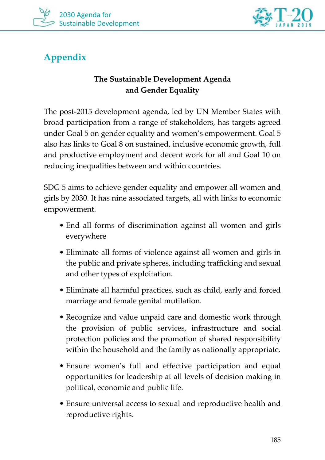



## **Appendix**

## **The Sustainable Development Agenda and Gender Equality**

The post-2015 development agenda, led by UN Member States with broad participation from a range of stakeholders, has targets agreed under Goal 5 on gender equality and women's empowerment. Goal 5 also has links to Goal 8 on sustained, inclusive economic growth, full and productive employment and decent work for all and Goal 10 on reducing inequalities between and within countries.

SDG 5 aims to achieve gender equality and empower all women and girls by 2030. It has nine associated targets, all with links to economic empowerment.

- End all forms of discrimination against all women and girls everywhere
- Eliminate all forms of violence against all women and girls in the public and private spheres, including trafficking and sexual and other types of exploitation.
- Eliminate all harmful practices, such as child, early and forced marriage and female genital mutilation.
- Recognize and value unpaid care and domestic work through the provision of public services, infrastructure and social protection policies and the promotion of shared responsibility within the household and the family as nationally appropriate.
- Ensure women's full and effective participation and equal opportunities for leadership at all levels of decision making in political, economic and public life.
- Ensure universal access to sexual and reproductive health and reproductive rights.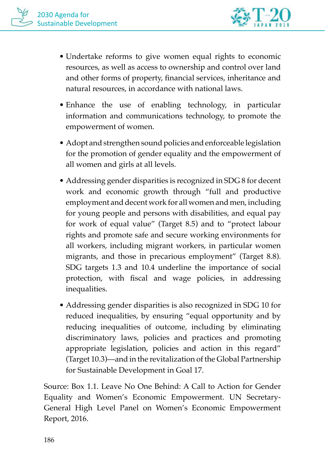

- Undertake reforms to give women equal rights to economic resources, as well as access to ownership and control over land and other forms of property, financial services, inheritance and natural resources, in accordance with national laws.
- Enhance the use of enabling technology, in particular information and communications technology, to promote the empowerment of women.
- Adopt and strengthen sound policies and enforceable legislation for the promotion of gender equality and the empowerment of all women and girls at all levels.
- Addressing gender disparities is recognized in SDG 8 for decent work and economic growth through "full and productive employment and decent work for all women and men, including for young people and persons with disabilities, and equal pay for work of equal value" (Target 8.5) and to "protect labour rights and promote safe and secure working environments for all workers, including migrant workers, in particular women migrants, and those in precarious employment" (Target 8.8). SDG targets 1.3 and 10.4 underline the importance of social protection, with fiscal and wage policies, in addressing inequalities.
- Addressing gender disparities is also recognized in SDG 10 for reduced inequalities, by ensuring "equal opportunity and by reducing inequalities of outcome, including by eliminating discriminatory laws, policies and practices and promoting appropriate legislation, policies and action in this regard" (Target 10.3)—and in the revitalization of the Global Partnership for Sustainable Development in Goal 17.

Source: Box 1.1. Leave No One Behind: A Call to Action for Gender Equality and Women's Economic Empowerment. UN Secretary-General High Level Panel on Women's Economic Empowerment Report, 2016.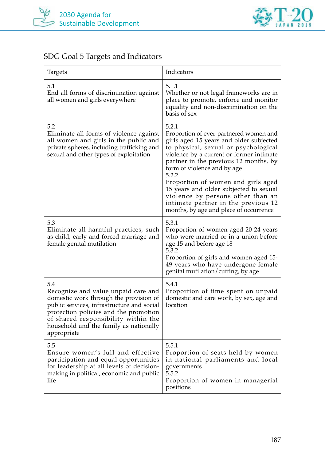



## SDG Goal 5 Targets and Indicators

| Targets                                                                                                                                                                                                                                                                     | Indicators                                                                                                                                                                                                                                                                                                                                                                                                                                                            |
|-----------------------------------------------------------------------------------------------------------------------------------------------------------------------------------------------------------------------------------------------------------------------------|-----------------------------------------------------------------------------------------------------------------------------------------------------------------------------------------------------------------------------------------------------------------------------------------------------------------------------------------------------------------------------------------------------------------------------------------------------------------------|
| 5.1<br>End all forms of discrimination against<br>all women and girls everywhere                                                                                                                                                                                            | 5.1.1<br>Whether or not legal frameworks are in<br>place to promote, enforce and monitor<br>equality and non-discrimination on the<br>basis of sex                                                                                                                                                                                                                                                                                                                    |
| 5.2<br>Eliminate all forms of violence against<br>all women and girls in the public and<br>private spheres, including trafficking and<br>sexual and other types of exploitation                                                                                             | 5.2.1<br>Proportion of ever-partnered women and<br>girls aged 15 years and older subjected<br>to physical, sexual or psychological<br>violence by a current or former intimate<br>partner in the previous 12 months, by<br>form of violence and by age<br>5.2.2<br>Proportion of women and girls aged<br>15 years and older subjected to sexual<br>violence by persons other than an<br>intimate partner in the previous 12<br>months, by age and place of occurrence |
| 5.3<br>Eliminate all harmful practices, such<br>as child, early and forced marriage and<br>female genital mutilation                                                                                                                                                        | 5.3.1<br>Proportion of women aged 20-24 years<br>who were married or in a union before<br>age 15 and before age 18<br>5.3.2<br>Proportion of girls and women aged 15-<br>49 years who have undergone female<br>genital mutilation/cutting, by age                                                                                                                                                                                                                     |
| 5.4<br>Recognize and value unpaid care and<br>domestic work through the provision of<br>public services, infrastructure and social<br>protection policies and the promotion<br>of shared responsibility within the<br>household and the family as nationally<br>appropriate | 5.4.1<br>Proportion of time spent on unpaid<br>domestic and care work, by sex, age and<br>location                                                                                                                                                                                                                                                                                                                                                                    |
| 5.5<br>Ensure women's full and effective<br>participation and equal opportunities<br>for leadership at all levels of decision-<br>making in political, economic and public<br>life                                                                                          | 5.5.1<br>Proportion of seats held by women<br>in national parliaments and local<br>governments<br>5.5.2<br>Proportion of women in managerial<br>positions                                                                                                                                                                                                                                                                                                             |